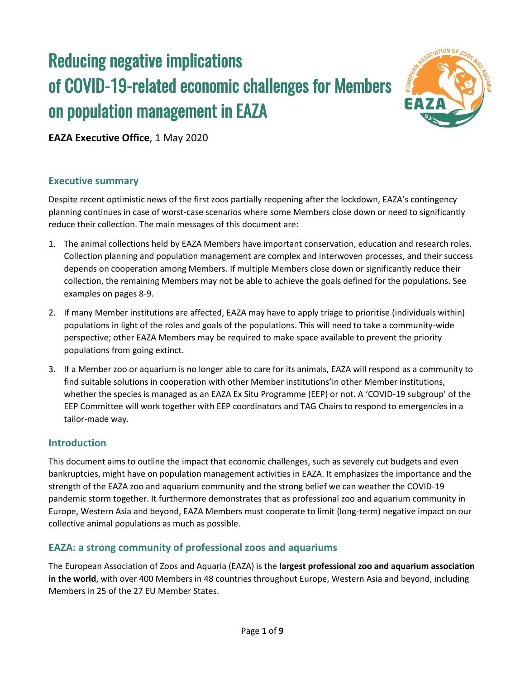# Reducing negative implications of COVID-19-related economic challenges for Members on population management in EAZA



**EAZA Executive Office**, 1 May 2020

## **Executive summary**

Despite recent optimistic news of the first zoos partially reopening after the lockdown, EAZA's contingency planning continues in case of worst-case scenarios where some Members close down or need to significantly reduce their collection. The main messages of this document are:

- 1. The animal collections held by EAZA Members have important conservation, education and research roles. Collection planning and population management are complex and interwoven processes, and their success depends on cooperation among Members. If multiple Members close down or significantly reduce their collection, the remaining Members may not be able to achieve the goals defined for the populations. See examples on pages 8-9.
- 2. If many Member institutions are affected, EAZA may have to apply triage to prioritise (individuals within) populations in light of the roles and goals of the populations. This will need to take a community-wide perspective; other EAZA Members may be required to make space available to prevent the priority populations from going extinct.
- 3. If a Member zoo or aquarium is no longer able to care for its animals, EAZA will respond as a community to find suitable solutions in cooperation with other Member institutions'in other Member institutions, whether the species is managed as an EAZA Ex Situ Programme (EEP) or not. A 'COVID-19 subgroup' of the EEP Committee will work together with EEP coordinators and TAG Chairs to respond to emergencies in a tailor-made way.

## **Introduction**

This document aims to outline the impact that economic challenges, such as severely cut budgets and even bankruptcies, might have on population management activities in EAZA. It emphasizes the importance and the strength of the EAZA zoo and aquarium community and the strong belief we can weather the COVID-19 pandemic storm together. It furthermore demonstrates that as professional zoo and aquarium community in Europe, Western Asia and beyond, EAZA Members must cooperate to limit (long-term) negative impact on our collective animal populations as much as possible.

## **EAZA: a strong community of professional zoos and aquariums**

The European Association of Zoos and Aquaria (EAZA) is the **largest professional zoo and aquarium association in the world**, with over 400 Members in 48 countries throughout Europe, Western Asia and beyond, including Members in 25 of the 27 EU Member States.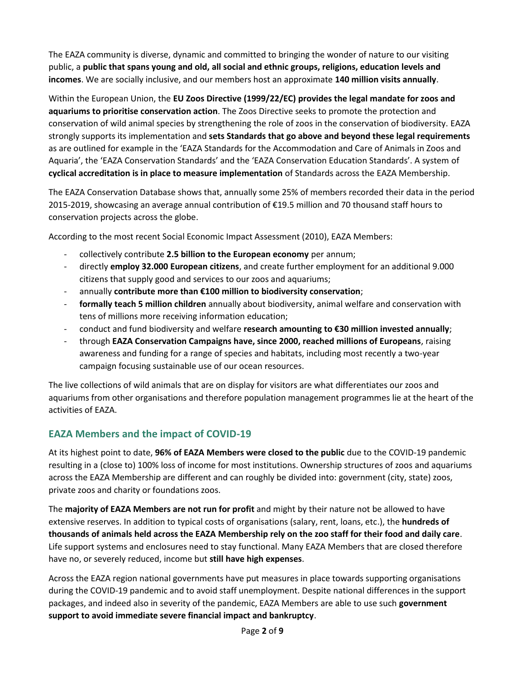The EAZA community is diverse, dynamic and committed to bringing the wonder of nature to our visiting public, a **public that spans young and old, all social and ethnic groups, religions, education levels and incomes**. We are socially inclusive, and our members host an approximate **140 million visits annually**.

Within the European Union, the **EU Zoos Directive (1999/22/EC) provides the legal mandate for zoos and aquariums to prioritise conservation action**. The Zoos Directive seeks to promote the protection and conservation of wild animal species by strengthening the role of zoos in the conservation of biodiversity. EAZA strongly supports its implementation and **sets Standards that go above and beyond these legal requirements** as are outlined for example in the 'EAZA Standards for the Accommodation and Care of Animals in Zoos and Aquaria', the 'EAZA Conservation Standards' and the 'EAZA Conservation Education Standards'. A system of **cyclical accreditation is in place to measure implementation** of Standards across the EAZA Membership.

The EAZA Conservation Database shows that, annually some 25% of members recorded their data in the period 2015-2019, showcasing an average annual contribution of €19.5 million and 70 thousand staff hours to conservation projects across the globe.

According to the most recent Social Economic Impact Assessment (2010), EAZA Members:

- collectively contribute **2.5 billion to the European economy** per annum;
- directly **employ 32.000 European citizens**, and create further employment for an additional 9.000 citizens that supply good and services to our zoos and aquariums;
- annually **contribute more than €100 million to biodiversity conservation**;
- **formally teach 5 million children** annually about biodiversity, animal welfare and conservation with tens of millions more receiving information education;
- conduct and fund biodiversity and welfare **research amounting to €30 million invested annually**;
- through **EAZA Conservation Campaigns have, since 2000, reached millions of Europeans**, raising awareness and funding for a range of species and habitats, including most recently a two-year campaign focusing sustainable use of our ocean resources.

The live collections of wild animals that are on display for visitors are what differentiates our zoos and aquariums from other organisations and therefore population management programmes lie at the heart of the activities of EAZA.

## **EAZA Members and the impact of COVID-19**

At its highest point to date, **96% of EAZA Members were closed to the public** due to the COVID-19 pandemic resulting in a (close to) 100% loss of income for most institutions. Ownership structures of zoos and aquariums across the EAZA Membership are different and can roughly be divided into: government (city, state) zoos, private zoos and charity or foundations zoos.

The **majority of EAZA Members are not run for profit** and might by their nature not be allowed to have extensive reserves. In addition to typical costs of organisations (salary, rent, loans, etc.), the **hundreds of thousands of animals held across the EAZA Membership rely on the zoo staff for their food and daily care**. Life support systems and enclosures need to stay functional. Many EAZA Members that are closed therefore have no, or severely reduced, income but **still have high expenses**.

Across the EAZA region national governments have put measures in place towards supporting organisations during the COVID-19 pandemic and to avoid staff unemployment. Despite national differences in the support packages, and indeed also in severity of the pandemic, EAZA Members are able to use such **government support to avoid immediate severe financial impact and bankruptcy**.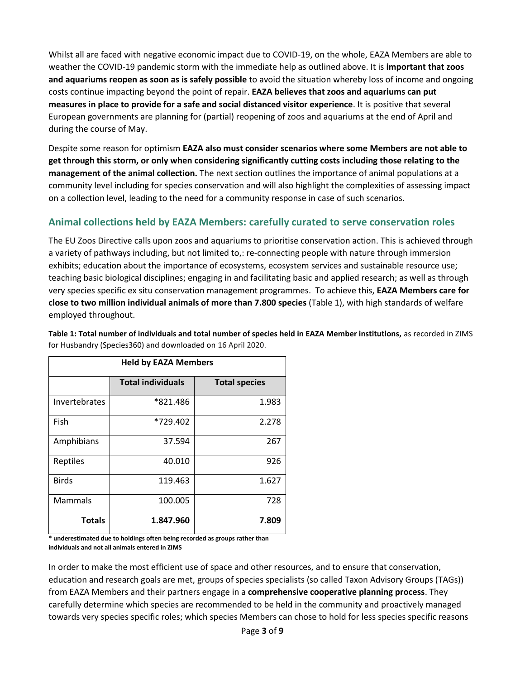Whilst all are faced with negative economic impact due to COVID-19, on the whole, EAZA Members are able to weather the COVID-19 pandemic storm with the immediate help as outlined above. It is **important that zoos and aquariums reopen as soon as is safely possible** to avoid the situation whereby loss of income and ongoing costs continue impacting beyond the point of repair. **EAZA believes that zoos and aquariums can put measures in place to provide for a safe and social distanced visitor experience**. It is positive that several European governments are planning for (partial) reopening of zoos and aquariums at the end of April and during the course of May.

Despite some reason for optimism **EAZA also must consider scenarios where some Members are not able to get through this storm, or only when considering significantly cutting costs including those relating to the management of the animal collection.** The next section outlines the importance of animal populations at a community level including for species conservation and will also highlight the complexities of assessing impact on a collection level, leading to the need for a community response in case of such scenarios.

# **Animal collections held by EAZA Members: carefully curated to serve conservation roles**

The EU Zoos Directive calls upon zoos and aquariums to prioritise conservation action. This is achieved through a variety of pathways including, but not limited to,: re-connecting people with nature through immersion exhibits; education about the importance of ecosystems, ecosystem services and sustainable resource use; teaching basic biological disciplines; engaging in and facilitating basic and applied research; as well as through very species specific ex situ conservation management programmes. To achieve this, **EAZA Members care for close to two million individual animals of more than 7.800 species** (Table 1), with high standards of welfare employed throughout.

| <b>Held by EAZA Members</b> |                          |                      |  |  |  |
|-----------------------------|--------------------------|----------------------|--|--|--|
|                             | <b>Total individuals</b> | <b>Total species</b> |  |  |  |
| Invertebrates               | *821.486                 | 1.983                |  |  |  |
| Fish                        | *729.402                 | 2.278                |  |  |  |
| Amphibians                  | 37.594                   | 267                  |  |  |  |
| Reptiles                    | 40.010                   | 926                  |  |  |  |
| <b>Birds</b>                | 119.463                  | 1.627                |  |  |  |
| <b>Mammals</b>              | 100.005                  | 728                  |  |  |  |
| <b>Totals</b>               | 1.847.960                | 7.809                |  |  |  |

**Table 1: Total number of individuals and total number of species held in EAZA Member institutions,** as recorded in ZIMS for Husbandry (Species360) and downloaded on 16 April 2020.

**\* underestimated due to holdings often being recorded as groups rather than individuals and not all animals entered in ZIMS**

In order to make the most efficient use of space and other resources, and to ensure that conservation, education and research goals are met, groups of species specialists (so called Taxon Advisory Groups (TAGs)) from EAZA Members and their partners engage in a **comprehensive cooperative planning process**. They carefully determine which species are recommended to be held in the community and proactively managed towards very species specific roles; which species Members can chose to hold for less species specific reasons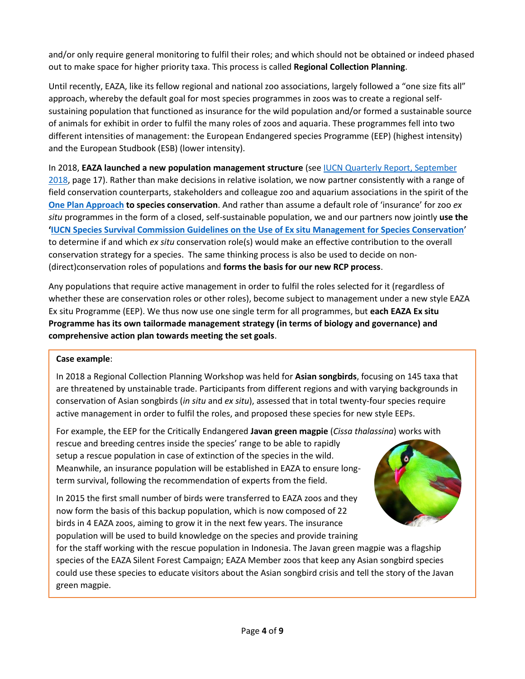and/or only require general monitoring to fulfil their roles; and which should not be obtained or indeed phased out to make space for higher priority taxa. This process is called **Regional Collection Planning**.

Until recently, EAZA, like its fellow regional and national zoo associations, largely followed a "one size fits all" approach, whereby the default goal for most species programmes in zoos was to create a regional selfsustaining population that functioned as insurance for the wild population and/or formed a sustainable source of animals for exhibit in order to fulfil the many roles of zoos and aquaria. These programmes fell into two different intensities of management: the European Endangered species Programme (EEP) (highest intensity) and the European Studbook (ESB) (lower intensity).

## In 2018, **EAZA launched a new population management structure** (see [IUCN Quarterly Report, September](https://drive.google.com/file/d/1AX9NMpNUqdRdKyxI1jWj4F9dLHZma_UZ/view)

[2018,](https://drive.google.com/file/d/1AX9NMpNUqdRdKyxI1jWj4F9dLHZma_UZ/view) page 17). Rather than make decisions in relative isolation, we now partner consistently with a range of field conservation counterparts, stakeholders and colleague zoo and aquarium associations in the spirit of the **[One Plan Approach](http://www.cpsg.org/our-approach/one-plan-approach-conservation) to species conservation**. And rather than assume a default role of 'insurance' for zoo *ex situ* programmes in the form of a closed, self-sustainable population, we and our partners now jointly **use the '[IUCN Species Survival Commission Guidelines on the Use of Ex situ Management for Species Conservation](https://portals.iucn.org/library/sites/library/files/documents/2014-064.pdf)**' to determine if and which *ex situ* conservation role(s) would make an effective contribution to the overall conservation strategy for a species. The same thinking process is also be used to decide on non- (direct)conservation roles of populations and **forms the basis for our new RCP process**.

Any populations that require active management in order to fulfil the roles selected for it (regardless of whether these are conservation roles or other roles), become subject to management under a new style EAZA Ex situ Programme (EEP). We thus now use one single term for all programmes, but **each EAZA Ex situ Programme has its own tailormade management strategy (in terms of biology and governance) and comprehensive action plan towards meeting the set goals**.

## **Case example**:

In 2018 a Regional Collection Planning Workshop was held for **Asian songbirds**, focusing on 145 taxa that are threatened by unstainable trade. Participants from different regions and with varying backgrounds in conservation of Asian songbirds (*in situ* and *ex situ*), assessed that in total twenty-four species require active management in order to fulfil the roles, and proposed these species for new style EEPs.

For example, the EEP for the Critically Endangered **Javan green magpie** (*Cissa thalassina*) works with rescue and breeding centres inside the species' range to be able to rapidly setup a rescue population in case of extinction of the species in the wild. Meanwhile, an insurance population will be established in EAZA to ensure longterm survival, following the recommendation of experts from the field.

In 2015 the first small number of birds were transferred to EAZA zoos and they now form the basis of this backup population, which is now composed of 22 birds in 4 EAZA zoos, aiming to grow it in the next few years. The insurance population will be used to build knowledge on the species and provide training



for the staff working with the rescue population in Indonesia. The Javan green magpie was a flagship species of the EAZA Silent Forest Campaign; EAZA Member zoos that keep any Asian songbird species could use these species to educate visitors about the Asian songbird crisis and tell the story of the Javan green magpie.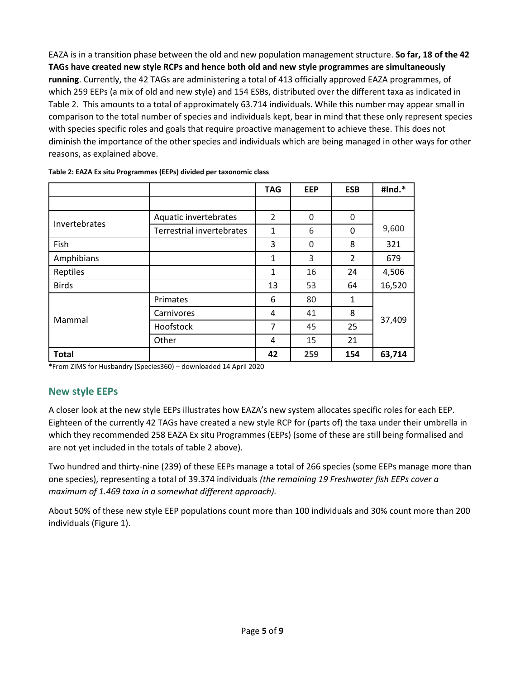EAZA is in a transition phase between the old and new population management structure. **So far, 18 of the 42 TAGs have created new style RCPs and hence both old and new style programmes are simultaneously running**. Currently, the 42 TAGs are administering a total of 413 officially approved EAZA programmes, of which 259 EEPs (a mix of old and new style) and 154 ESBs, distributed over the different taxa as indicated in Table 2. This amounts to a total of approximately 63.714 individuals. While this number may appear small in comparison to the total number of species and individuals kept, bear in mind that these only represent species with species specific roles and goals that require proactive management to achieve these. This does not diminish the importance of the other species and individuals which are being managed in other ways for other reasons, as explained above.

|               |                                  | <b>TAG</b>        | <b>EEP</b> | <b>ESB</b> | #Ind.* |  |
|---------------|----------------------------------|-------------------|------------|------------|--------|--|
|               |                                  |                   |            |            |        |  |
| Invertebrates | Aquatic invertebrates            | 2                 | $\Omega$   | 0          |        |  |
|               | <b>Terrestrial invertebrates</b> | $\mathbf{1}$<br>6 |            | 0          | 9,600  |  |
| Fish          |                                  | 3                 | 0          | 8          | 321    |  |
| Amphibians    |                                  | 1                 | 3          | 2          | 679    |  |
| Reptiles      |                                  | 1                 | 16         | 24         | 4,506  |  |
| <b>Birds</b>  |                                  | 13                | 53         | 64         | 16,520 |  |
|               | Primates                         | 6                 | 80         | 1          |        |  |
|               | Carnivores                       | 4                 | 41         | 8          |        |  |
| Mammal        | Hoofstock                        | $\overline{7}$    | 45         | 25         | 37,409 |  |
|               | Other                            | 4                 | 15         | 21         |        |  |
| <b>Total</b>  |                                  | 42                | 259        | 154        | 63,714 |  |

**Table 2: EAZA Ex situ Programmes (EEPs) divided per taxonomic class**

\*From ZIMS for Husbandry (Species360) – downloaded 14 April 2020

## **New style EEPs**

A closer look at the new style EEPs illustrates how EAZA's new system allocates specific roles for each EEP. Eighteen of the currently 42 TAGs have created a new style RCP for (parts of) the taxa under their umbrella in which they recommended 258 EAZA Ex situ Programmes (EEPs) (some of these are still being formalised and are not yet included in the totals of table 2 above).

Two hundred and thirty-nine (239) of these EEPs manage a total of 266 species (some EEPs manage more than one species), representing a total of 39.374 individuals *(the remaining 19 Freshwater fish EEPs cover a maximum of 1.469 taxa in a somewhat different approach).* 

About 50% of these new style EEP populations count more than 100 individuals and 30% count more than 200 individuals (Figure 1).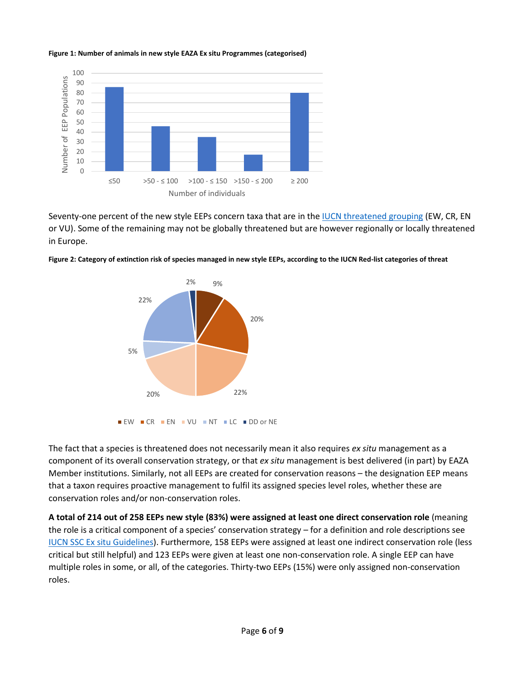#### **Figure 1: Number of animals in new style EAZA Ex situ Programmes (categorised)**



Seventy-one percent of the new style EEPs concern taxa that are in th[e IUCN threatened grouping](https://www.iucn.org/resources/conservation-tools/iucn-red-list-threatened-species#RL_categories) (EW, CR, EN or VU). Some of the remaining may not be globally threatened but are however regionally or locally threatened in Europe.





The fact that a species is threatened does not necessarily mean it also requires *ex situ* management as a component of its overall conservation strategy, or that *ex situ* management is best delivered (in part) by EAZA Member institutions. Similarly, not all EEPs are created for conservation reasons – the designation EEP means that a taxon requires proactive management to fulfil its assigned species level roles, whether these are conservation roles and/or non-conservation roles.

**A total of 214 out of 258 EEPs new style (83%) were assigned at least one direct conservation role** (meaning the role is a critical component of a species' conservation strategy – for a definition and role descriptions see [IUCN SSC Ex situ Guidelines\)](https://portals.iucn.org/library/sites/library/files/documents/2014-064.pdf). Furthermore, 158 EEPs were assigned at least one indirect conservation role (less critical but still helpful) and 123 EEPs were given at least one non-conservation role. A single EEP can have multiple roles in some, or all, of the categories. Thirty-two EEPs (15%) were only assigned non-conservation roles.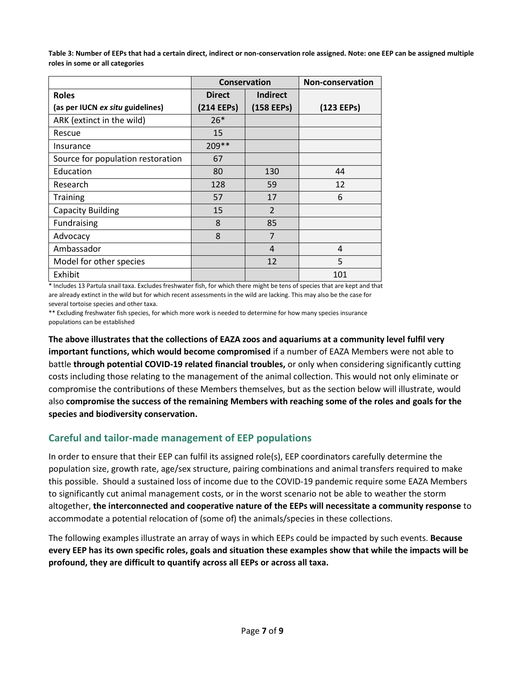**Table 3: Number of EEPs that had a certain direct, indirect or non-conservation role assigned. Note: one EEP can be assigned multiple roles in some or all categories**

|                                   |               | Conservation    | <b>Non-conservation</b> |  |
|-----------------------------------|---------------|-----------------|-------------------------|--|
| <b>Roles</b>                      | <b>Direct</b> | <b>Indirect</b> |                         |  |
| (as per IUCN ex situ guidelines)  | (214 EEPs)    | (158 EEPs)      | (123 EEPs)              |  |
| ARK (extinct in the wild)         | $26*$         |                 |                         |  |
| Rescue                            | 15            |                 |                         |  |
| Insurance                         | 209 **        |                 |                         |  |
| Source for population restoration | 67            |                 |                         |  |
| Education                         | 80            | 130             | 44                      |  |
| Research                          | 128           | 59              | 12                      |  |
| <b>Training</b>                   | 57            | 17              | 6                       |  |
| <b>Capacity Building</b>          | 15            | $\mathcal{P}$   |                         |  |
| Fundraising                       | 8             | 85              |                         |  |
| Advocacy                          | 8             | 7               |                         |  |
| Ambassador                        |               | $\overline{4}$  | 4                       |  |
| Model for other species           |               | 12              | 5                       |  |
| Exhibit                           |               |                 | 101                     |  |

\* Includes 13 Partula snail taxa. Excludes freshwater fish, for which there might be tens of species that are kept and that are already extinct in the wild but for which recent assessments in the wild are lacking. This may also be the case for several tortoise species and other taxa.

\*\* Excluding freshwater fish species, for which more work is needed to determine for how many species insurance populations can be established

**The above illustrates that the collections of EAZA zoos and aquariums at a community level fulfil very important functions, which would become compromised** if a number of EAZA Members were not able to battle **through potential COVID-19 related financial troubles,** or only when considering significantly cutting costs including those relating to the management of the animal collection. This would not only eliminate or compromise the contributions of these Members themselves, but as the section below will illustrate, would also **compromise the success of the remaining Members with reaching some of the roles and goals for the species and biodiversity conservation.**

# **Careful and tailor-made management of EEP populations**

In order to ensure that their EEP can fulfil its assigned role(s), EEP coordinators carefully determine the population size, growth rate, age/sex structure, pairing combinations and animal transfers required to make this possible. Should a sustained loss of income due to the COVID-19 pandemic require some EAZA Members to significantly cut animal management costs, or in the worst scenario not be able to weather the storm altogether, **the interconnected and cooperative nature of the EEPs will necessitate a community response** to accommodate a potential relocation of (some of) the animals/species in these collections.

The following examples illustrate an array of ways in which EEPs could be impacted by such events. **Because every EEP has its own specific roles, goals and situation these examples show that while the impacts will be profound, they are difficult to quantify across all EEPs or across all taxa.**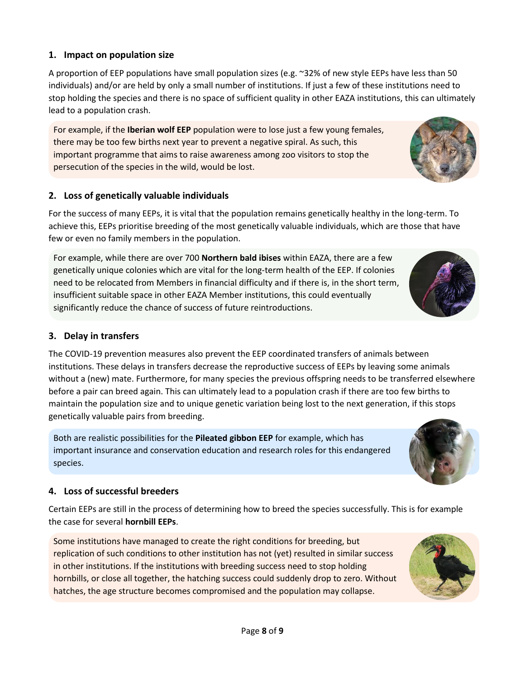## **1. Impact on population size**

A proportion of EEP populations have small population sizes (e.g. ~32% of new style EEPs have less than 50 individuals) and/or are held by only a small number of institutions. If just a few of these institutions need to stop holding the species and there is no space of sufficient quality in other EAZA institutions, this can ultimately lead to a population crash.

For example, if the **Iberian wolf EEP** population were to lose just a few young females, there may be too few births next year to prevent a negative spiral. As such, this important programme that aims to raise awareness among zoo visitors to stop the persecution of the species in the wild, would be lost.

## **2. Loss of genetically valuable individuals**

For the success of many EEPs, it is vital that the population remains genetically healthy in the long-term. To achieve this, EEPs prioritise breeding of the most genetically valuable individuals, which are those that have few or even no family members in the population.

For example, while there are over 700 **Northern bald ibises** within EAZA, there are a few genetically unique colonies which are vital for the long-term health of the EEP. If colonies need to be relocated from Members in financial difficulty and if there is, in the short term, insufficient suitable space in other EAZA Member institutions, this could eventually significantly reduce the chance of success of future reintroductions.

## **3. Delay in transfers**

The COVID-19 prevention measures also prevent the EEP coordinated transfers of animals between institutions. These delays in transfers decrease the reproductive success of EEPs by leaving some animals without a (new) mate. Furthermore, for many species the previous offspring needs to be transferred elsewhere before a pair can breed again. This can ultimately lead to a population crash if there are too few births to maintain the population size and to unique genetic variation being lost to the next generation, if this stops genetically valuable pairs from breeding.

Both are realistic possibilities for the **Pileated gibbon EEP** for example, which has important insurance and conservation education and research roles for this endangered species.

## **4. Loss of successful breeders**

Certain EEPs are still in the process of determining how to breed the species successfully. This is for example the case for several **hornbill EEPs**.

Some institutions have managed to create the right conditions for breeding, but replication of such conditions to other institution has not (yet) resulted in similar success in other institutions. If the institutions with breeding success need to stop holding hornbills, or close all together, the hatching success could suddenly drop to zero. Without hatches, the age structure becomes compromised and the population may collapse.